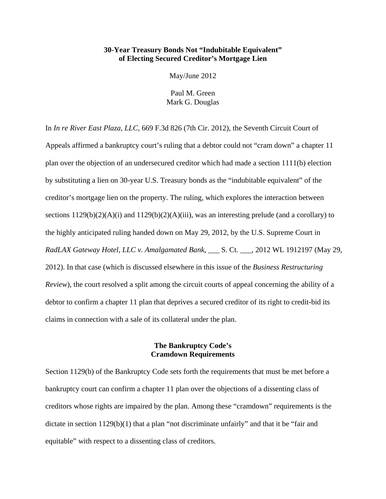### **30-Year Treasury Bonds Not "Indubitable Equivalent" of Electing Secured Creditor's Mortgage Lien**

May/June 2012

Paul M. Green Mark G. Douglas

In *In re River East Plaza, LLC*, 669 F.3d 826 (7th Cir. 2012), the Seventh Circuit Court of Appeals affirmed a bankruptcy court's ruling that a debtor could not "cram down" a chapter 11 plan over the objection of an undersecured creditor which had made a section 1111(b) election by substituting a lien on 30-year U.S. Treasury bonds as the "indubitable equivalent" of the creditor's mortgage lien on the property. The ruling, which explores the interaction between sections  $1129(b)(2)(A)(i)$  and  $1129(b)(2)(A)(iii)$ , was an interesting prelude (and a corollary) to the highly anticipated ruling handed down on May 29, 2012, by the U.S. Supreme Court in *RadLAX Gateway Hotel, LLC v. Amalgamated Bank*, \_\_\_ S. Ct. \_\_\_, 2012 WL 1912197 (May 29, 2012). In that case (which is discussed elsewhere in this issue of the *Business Restructuring Review*), the court resolved a split among the circuit courts of appeal concerning the ability of a debtor to confirm a chapter 11 plan that deprives a secured creditor of its right to credit-bid its claims in connection with a sale of its collateral under the plan.

# **The Bankruptcy Code's Cramdown Requirements**

Section 1129(b) of the Bankruptcy Code sets forth the requirements that must be met before a bankruptcy court can confirm a chapter 11 plan over the objections of a dissenting class of creditors whose rights are impaired by the plan. Among these "cramdown" requirements is the dictate in section 1129(b)(1) that a plan "not discriminate unfairly" and that it be "fair and equitable" with respect to a dissenting class of creditors.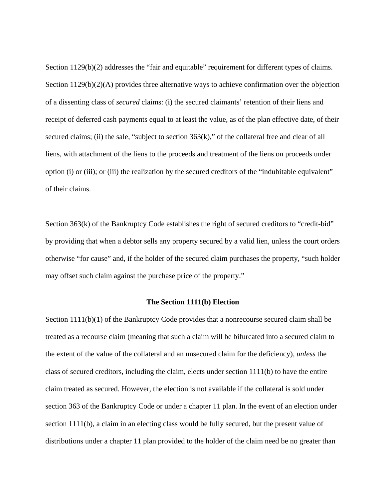Section 1129(b)(2) addresses the "fair and equitable" requirement for different types of claims. Section  $1129(b)(2)(A)$  provides three alternative ways to achieve confirmation over the objection of a dissenting class of *secured* claims: (i) the secured claimants' retention of their liens and receipt of deferred cash payments equal to at least the value, as of the plan effective date, of their secured claims; (ii) the sale, "subject to section  $363(k)$ ," of the collateral free and clear of all liens, with attachment of the liens to the proceeds and treatment of the liens on proceeds under option (i) or (iii); or (iii) the realization by the secured creditors of the "indubitable equivalent" of their claims.

Section 363(k) of the Bankruptcy Code establishes the right of secured creditors to "credit-bid" by providing that when a debtor sells any property secured by a valid lien, unless the court orders otherwise "for cause" and, if the holder of the secured claim purchases the property, "such holder may offset such claim against the purchase price of the property."

#### **The Section 1111(b) Election**

Section 1111(b)(1) of the Bankruptcy Code provides that a nonrecourse secured claim shall be treated as a recourse claim (meaning that such a claim will be bifurcated into a secured claim to the extent of the value of the collateral and an unsecured claim for the deficiency), *unless* the class of secured creditors, including the claim, elects under section 1111(b) to have the entire claim treated as secured. However, the election is not available if the collateral is sold under section 363 of the Bankruptcy Code or under a chapter 11 plan. In the event of an election under section 1111(b), a claim in an electing class would be fully secured, but the present value of distributions under a chapter 11 plan provided to the holder of the claim need be no greater than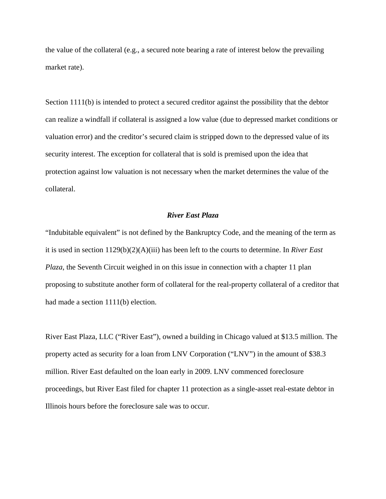the value of the collateral (e.g., a secured note bearing a rate of interest below the prevailing market rate).

Section 1111(b) is intended to protect a secured creditor against the possibility that the debtor can realize a windfall if collateral is assigned a low value (due to depressed market conditions or valuation error) and the creditor's secured claim is stripped down to the depressed value of its security interest. The exception for collateral that is sold is premised upon the idea that protection against low valuation is not necessary when the market determines the value of the collateral.

# *River East Plaza*

"Indubitable equivalent" is not defined by the Bankruptcy Code, and the meaning of the term as it is used in section 1129(b)(2)(A)(iii) has been left to the courts to determine. In *River East Plaza*, the Seventh Circuit weighed in on this issue in connection with a chapter 11 plan proposing to substitute another form of collateral for the real-property collateral of a creditor that had made a section 1111(b) election.

River East Plaza, LLC ("River East"), owned a building in Chicago valued at \$13.5 million. The property acted as security for a loan from LNV Corporation ("LNV") in the amount of \$38.3 million. River East defaulted on the loan early in 2009. LNV commenced foreclosure proceedings, but River East filed for chapter 11 protection as a single-asset real-estate debtor in Illinois hours before the foreclosure sale was to occur.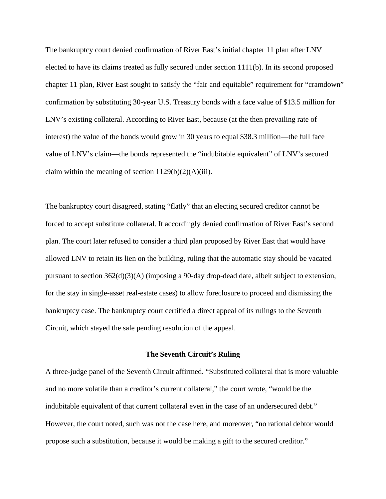The bankruptcy court denied confirmation of River East's initial chapter 11 plan after LNV elected to have its claims treated as fully secured under section 1111(b). In its second proposed chapter 11 plan, River East sought to satisfy the "fair and equitable" requirement for "cramdown" confirmation by substituting 30-year U.S. Treasury bonds with a face value of \$13.5 million for LNV's existing collateral. According to River East, because (at the then prevailing rate of interest) the value of the bonds would grow in 30 years to equal \$38.3 million—the full f ace value of LNV's claim—the bonds represented the "indubitable equivalent" of LNV's secured claim within the meaning of section  $1129(b)(2)(A)(iii)$ .

The bankruptcy court disagreed, stating "flatly" that an electing secured creditor cannot be forced to accept substitute collateral. It accordingly denied confirmation of River East's second plan. The court later refused to consider a third plan proposed by River East that would have allowed LNV to retain its lien on the building, ruling that the automatic stay should be vacated pursuant to section 362(d)(3)(A) (imposing a 90-day drop-dead date, albeit subject to extension, for the stay in single-asset real-estate cases) to allow foreclosure to proceed and dismissing the bankruptcy case. The bankruptcy court certified a direct appeal of its rulings to the Seventh Circuit, which stayed the sale pending resolution of the appeal.

#### **The Seventh Circuit's Ruling**

A three-judge panel of the Seventh Circuit affirmed. "Substituted collateral that is more valuable and no more volatile than a creditor's current collateral," the court wrote, "would be the indubitable equivalent of that current collateral even in the case of an undersecured debt." However, the court noted, such was not the case here, and moreover, "no rational debtor would propose such a substitution, because it would be making a gift to the secured creditor."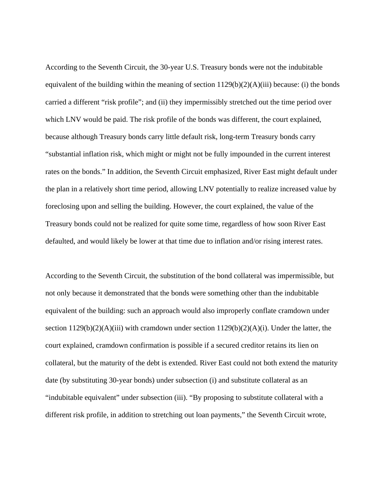According to the Seventh Circuit, the 30-year U.S. Treasury bonds were not the indubitable equivalent of the building within the meaning of section  $1129(b)(2)(A)(iii)$  because: (i) the bonds carried a different "risk profile"; and (ii) they impermissibly stretched out the time period over which LNV would be paid. The risk profile of the bonds was different, the court explained, because although Treasury bonds carry little default risk, long-term Treasury bonds carry "substantial inflation risk, which might or might not be fully impounded in the current interest rates on the bonds." In addition, the Seventh Circuit emphasized, River East might default under the plan in a relatively short time period, allowing LNV potentially to realize increased value by foreclosing upon and selling the building. However, the court explained, the value of the Treasury bonds could not be realized for quite some time, regardless of how soon River East defaulted, and would likely be lower at that time due to inflation and/or rising interest rates.

According to the Seventh Circuit, the substitution of the bond collateral was impermissible, but not only because it demonstrated that the bonds were something other than the indubitable equivalent of the building: such an approach would also improperly conflate cramdown under section  $1129(b)(2)(A)(iii)$  with cramdown under section  $1129(b)(2)(A)(i)$ . Under the latter, the court explained, cramdown confirmation is possible if a secured creditor retains its lien on collateral, but the maturity of the debt is extended. River East could not both extend the maturity date (by substituting 30-year bonds) under subsection (i) and substitute collateral as an "indubitable equivalent" under subsection (iii). "By proposing to substitute collateral with a different risk profile, in addition to stretching out loan payments," the Seventh Circuit wrote,